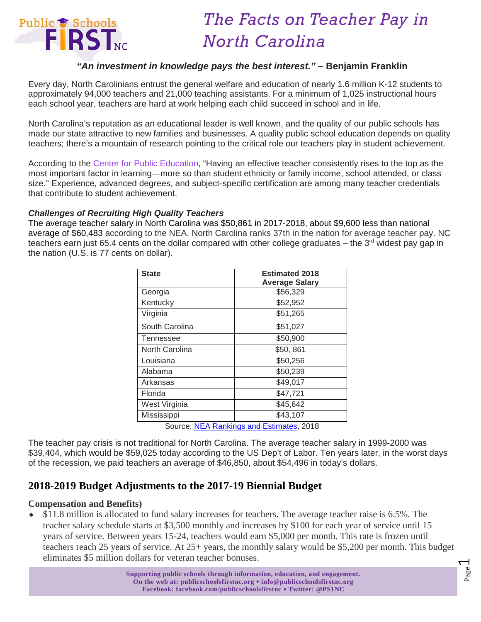

# *The Facts on Teacher Pay in North Carolina*

## *"An investment in knowledge pays the best interest."* **– Benjamin Franklin**

Every day, North Carolinians entrust the general welfare and education of nearly 1.6 million K-12 students to approximately 94,000 teachers and 21,000 teaching assistants. For a minimum of 1,025 instructional hours each school year, teachers are hard at work helping each child succeed in school and in life.

North Carolina's reputation as an educational leader is well known, and the quality of our public schools has made our state attractive to new families and businesses. A quality public school education depends on quality teachers; there's a mountain of research pointing to the critical role our teachers play in student achievement.

According to the [Center for Public Education,](http://www.centerforpubliceducation.org/Main-Menu/Staffingstudents/How-good-are-your-teachers-Trying-to-define-teacher-quality/Does-highly-qualified-mean-highly-effective.html) "Having an effective teacher consistently rises to the top as the most important factor in learning—more so than student ethnicity or family income, school attended, or class size." Experience, advanced degrees, and subject-specific certification are among many teacher credentials that contribute to student achievement.

#### *Challenges of Recruiting High Quality Teachers*

The average teacher salary in North Carolina was \$50,861 in 2017-2018, about \$9,600 less than national average of \$60,483 according to the NEA. North Carolina ranks 37th in the nation for average teacher pay. NC teachers earn just 65.4 cents on the dollar compared with other college graduates – the  $3<sup>rd</sup>$  widest pay gap in the nation (U.S. is 77 cents on dollar).

| <b>State</b>       | <b>Estimated 2018</b> |
|--------------------|-----------------------|
|                    | <b>Average Salary</b> |
| Georgia            | \$56,329              |
| Kentucky           | \$52,952              |
| Virginia           | \$51,265              |
| South Carolina     | \$51,027              |
| Tennessee          | \$50,900              |
| North Carolina     | \$50,861              |
| Louisiana          | \$50,256              |
| Alabama            | \$50,239              |
| Arkansas           | \$49,017              |
| Florida            | \$47,721              |
| West Virginia      | \$45,642              |
| Mississippi        | \$43,107              |
| ∽<br>.<br>. .<br>. |                       |

Source: [NEA Rankings and Estimates,](http://www.nea.org/assets/docs/180413-Rankings_And_Estimates_Report_2018.pdf) 2018

The teacher pay crisis is not traditional for North Carolina. The average teacher salary in 1999-2000 was \$39,404, which would be \$59,025 today according to the US Dep't of Labor. Ten years later, in the worst days of the recession, we paid teachers an average of \$46,850, about \$54,496 in today's dollars.

## **2018-2019 Budget Adjustments to the 2017-19 Biennial Budget**

### **Compensation and Benefits)**

• \$11.8 million is allocated to fund salary increases for teachers. The average teacher raise is 6.5%. The teacher salary schedule starts at \$3,500 monthly and increases by \$100 for each year of service until 15 years of service. Between years 15-24, teachers would earn \$5,000 per month. This rate is frozen until teachers reach 25 years of service. At 25+ years, the monthly salary would be \$5,200 per month. This budget eliminates \$5 million dollars for veteran teacher bonuses.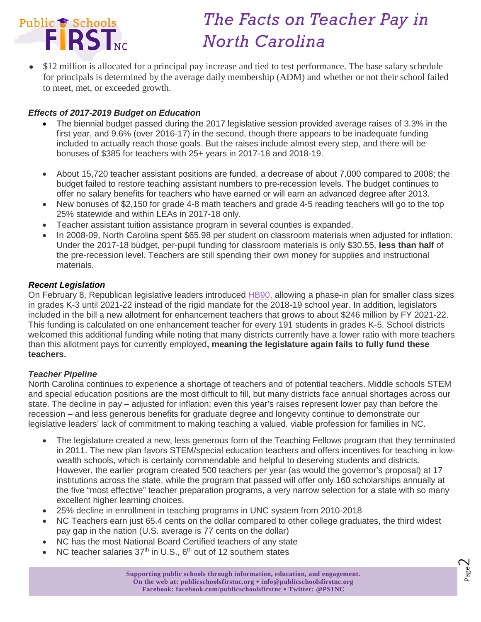

# *The Facts on Teacher Pay in North Carolina*

• \$12 million is allocated for a principal pay increase and tied to test performance. The base salary schedule for principals is determined by the average daily membership (ADM) and whether or not their school failed to meet, met, or exceeded growth.

## *Effects of 2017-2019 Budget on Education*

- The biennial budget passed during the 2017 legislative session provided average raises of 3.3% in the first year, and 9.6% (over 2016-17) in the second, though there appears to be inadequate funding included to actually reach those goals. But the raises include almost every step, and there will be bonuses of \$385 for teachers with 25+ years in 2017-18 and 2018-19.
- About 15,720 teacher assistant positions are funded, a decrease of about 7,000 compared to 2008; the budget failed to restore teaching assistant numbers to pre-recession levels. The budget continues to offer no salary benefits for teachers who have earned or will earn an advanced degree after 2013.
- New bonuses of \$2,150 for grade 4-8 math teachers and grade 4-5 reading teachers will go to the top 25% statewide and within LEAs in 2017-18 only.
- Teacher assistant tuition assistance program in several counties is expanded.
- In 2008-09, North Carolina spent \$65.98 per student on classroom materials when adjusted for inflation. Under the 2017-18 budget, per-pupil funding for classroom materials is only \$30.55, **less than half** of the pre-recession level. Teachers are still spending their own money for supplies and instructional materials.

## *Recent Legislation*

On February 8, Republican legislative leaders introduced [HB90,](https://www.ncga.state.nc.us/Sessions/2017/Bills/House/PDF/H90v3.pdf) allowing a phase-in plan for smaller class sizes in grades K-3 until 2021-22 instead of the rigid mandate for the 2018-19 school year. In addition, legislators included in the bill a new allotment for enhancement teachers that grows to about \$246 million by FY 2021-22. This funding is calculated on one enhancement teacher for every 191 students in grades K-5. School districts welcomed this additional funding while noting that many districts currently have a lower ratio with more teachers than this allotment pays for currently employed**, meaning the legislature again fails to fully fund these teachers.**

### *Teacher Pipeline*

North Carolina continues to experience a shortage of teachers and of potential teachers. Middle schools STEM and special education positions are the most difficult to fill, but many districts face annual shortages across our state. The decline in pay – adjusted for inflation; even this year's raises represent lower pay than before the recession – and less generous benefits for graduate degree and longevity continue to demonstrate our legislative leaders' lack of commitment to making teaching a valued, viable profession for families in NC.

- The legislature created a new, less generous form of the Teaching Fellows program that they terminated in 2011. The new plan favors STEM/special education teachers and offers incentives for teaching in lowwealth schools, which is certainly commendable and helpful to deserving students and districts. However, the earlier program created 500 teachers per year (as would the governor's proposal) at 17 institutions across the state, while the program that passed will offer only 160 scholarships annually at the five "most effective" teacher preparation programs, a very narrow selection for a state with so many excellent higher learning choices.
- 25% decline in enrollment in teaching programs in UNC system from 2010-2018
- NC Teachers earn just 65.4 cents on the dollar compared to other college graduates, the third widest pay gap in the nation (U.S. average is 77 cents on the dollar)
- NC has the most National Board Certified teachers of any state
- NC teacher salaries 37<sup>th</sup> in U.S., 6<sup>th</sup> out of 12 southern states